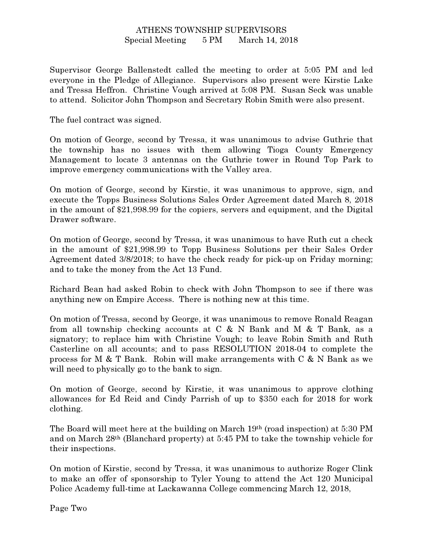## ATHENS TOWNSHIP SUPERVISORS Special Meeting 5 PM March 14, 2018

Supervisor George Ballenstedt called the meeting to order at 5:05 PM and led everyone in the Pledge of Allegiance. Supervisors also present were Kirstie Lake and Tressa Heffron. Christine Vough arrived at 5:08 PM. Susan Seck was unable to attend. Solicitor John Thompson and Secretary Robin Smith were also present.

The fuel contract was signed.

On motion of George, second by Tressa, it was unanimous to advise Guthrie that the township has no issues with them allowing Tioga County Emergency Management to locate 3 antennas on the Guthrie tower in Round Top Park to improve emergency communications with the Valley area.

On motion of George, second by Kirstie, it was unanimous to approve, sign, and execute the Topps Business Solutions Sales Order Agreement dated March 8, 2018 in the amount of \$21,998.99 for the copiers, servers and equipment, and the Digital Drawer software.

On motion of George, second by Tressa, it was unanimous to have Ruth cut a check in the amount of \$21,998.99 to Topp Business Solutions per their Sales Order Agreement dated 3/8/2018; to have the check ready for pick-up on Friday morning; and to take the money from the Act 13 Fund.

Richard Bean had asked Robin to check with John Thompson to see if there was anything new on Empire Access. There is nothing new at this time.

On motion of Tressa, second by George, it was unanimous to remove Ronald Reagan from all township checking accounts at C & N Bank and M & T Bank, as a signatory; to replace him with Christine Vough; to leave Robin Smith and Ruth Casterline on all accounts; and to pass RESOLUTION 2018-04 to complete the process for M & T Bank. Robin will make arrangements with C & N Bank as we will need to physically go to the bank to sign.

On motion of George, second by Kirstie, it was unanimous to approve clothing allowances for Ed Reid and Cindy Parrish of up to \$350 each for 2018 for work clothing.

The Board will meet here at the building on March 19th (road inspection) at 5:30 PM and on March 28th (Blanchard property) at 5:45 PM to take the township vehicle for their inspections.

On motion of Kirstie, second by Tressa, it was unanimous to authorize Roger Clink to make an offer of sponsorship to Tyler Young to attend the Act 120 Municipal Police Academy full-time at Lackawanna College commencing March 12, 2018,